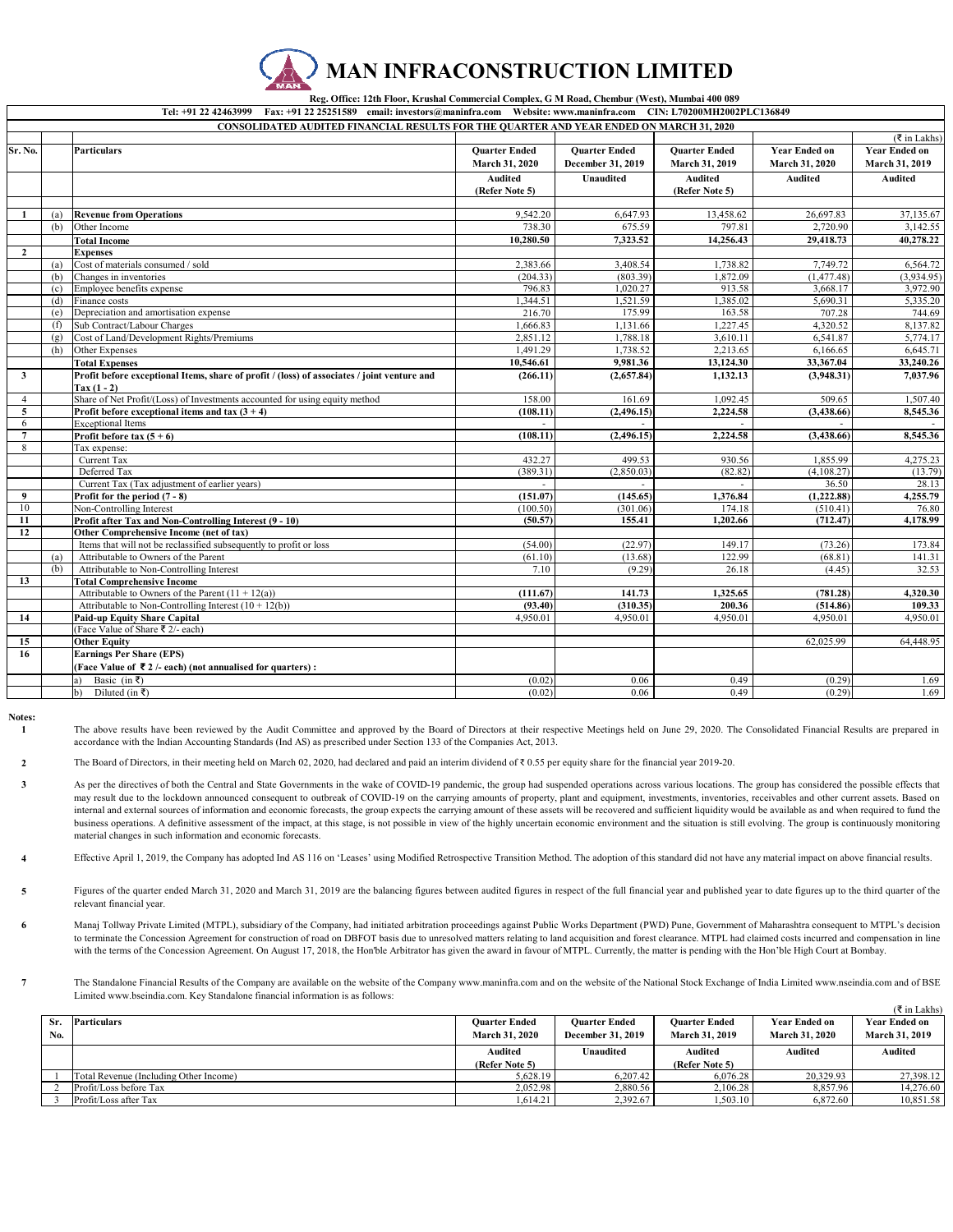

 **Reg. Office: 12th Floor, Krushal Commercial Complex, G M Road, Chembur (West), Mumbai 400 089** 

Website: www.maninfra.com

|                     |     | <b>CONSOLIDATED AUDITED FINANCIAL RESULTS FOR THE QUARTER AND YEAR ENDED ON MARCH 31, 2020</b> |                                        |                                           |                                        |                                        |                                        |
|---------------------|-----|------------------------------------------------------------------------------------------------|----------------------------------------|-------------------------------------------|----------------------------------------|----------------------------------------|----------------------------------------|
|                     |     |                                                                                                |                                        |                                           |                                        |                                        | $(\overline{\xi}$ in Lakhs)            |
| Sr. No.             |     | <b>Particulars</b>                                                                             | <b>Quarter Ended</b><br>March 31, 2020 | <b>Ouarter Ended</b><br>December 31, 2019 | <b>Ouarter Ended</b><br>March 31, 2019 | <b>Year Ended on</b><br>March 31, 2020 | <b>Year Ended on</b><br>March 31, 2019 |
|                     |     |                                                                                                | <b>Audited</b><br>(Refer Note 5)       | <b>Unaudited</b>                          | <b>Audited</b><br>(Refer Note 5)       | <b>Audited</b>                         | <b>Audited</b>                         |
|                     |     |                                                                                                |                                        |                                           |                                        |                                        |                                        |
| -1                  | (a) | <b>Revenue from Operations</b>                                                                 | 9,542.20                               | 6,647.93                                  | 13,458.62                              | 26,697.83                              | 37,135.67                              |
|                     | (b) | Other Income                                                                                   | 738.30                                 | 675.59                                    | 797.81                                 | 2,720.90                               | 3,142.55                               |
|                     |     | <b>Total Income</b>                                                                            | 10,280.50                              | 7,323.52                                  | 14,256.43                              | 29,418.73                              | 40,278.22                              |
| $\overline{2}$      |     | <b>Expenses</b>                                                                                |                                        |                                           |                                        |                                        |                                        |
|                     | (a) | Cost of materials consumed / sold                                                              | 2,383.66                               | 3,408.54                                  | 1,738.82                               | 7,749.72                               | 6,564.72                               |
|                     | (b) | Changes in inventories                                                                         | (204.33)                               | (803.39)                                  | 1.872.09                               | (1,477.48)                             | (3,934.95)                             |
|                     | (c) | Employee benefits expense                                                                      | 796.83                                 | 1,020.27                                  | 913.58                                 | 3,668.17                               | 3,972.90                               |
|                     | (d) | Finance costs                                                                                  | 1.344.51                               | 1,521.59                                  | 1.385.02                               | 5,690.31                               | 5,335.20                               |
|                     | (e) | Depreciation and amortisation expense                                                          | 216.70                                 | 175.99                                    | 163.58                                 | 707.28                                 | 744.69                                 |
|                     | (f) | Sub Contract/Labour Charges                                                                    | 1,666.83                               | 1,131.66                                  | 1,227.45                               | 4,320.52                               | 8,137.82                               |
|                     | (g) | Cost of Land/Development Rights/Premiums                                                       | 2,851.12                               | 1,788.18                                  | 3,610.11                               | 6,541.87                               | 5,774.17                               |
|                     | (h) | Other Expenses                                                                                 | 1,491.29                               | 1,738.52                                  | 2,213.65                               | 6,166.65                               | 6,645.71                               |
|                     |     | <b>Total Expenses</b>                                                                          | 10,546.61                              | 9,981.36                                  | 13,124.30                              | 33,367.04                              | 33,240.26                              |
| $\mathbf{3}$        |     | Profit before exceptional Items, share of profit / (loss) of associates / joint venture and    | (266.11)                               | (2,657.84)                                | 1,132.13                               | (3,948.31)                             | 7,037.96                               |
|                     |     | $\text{Tax} (1 - 2)$                                                                           |                                        |                                           |                                        |                                        |                                        |
| $\overline{4}$<br>5 |     | Share of Net Profit/(Loss) of Investments accounted for using equity method                    | 158.00<br>(108.11)                     | 161.69<br>(2,496.15)                      | 1,092.45<br>2,224.58                   | 509.65<br>(3,438.66)                   | 1,507.40<br>8,545.36                   |
| 6                   |     | Profit before exceptional items and tax $(3 + 4)$<br><b>Exceptional Items</b>                  |                                        |                                           |                                        |                                        |                                        |
| $\overline{7}$      |     | Profit before tax $(5 + 6)$                                                                    | (108.11)                               | (2,496.15)                                | 2,224.58                               | (3,438.66)                             | 8,545.36                               |
| 8                   |     | Tax expense:                                                                                   |                                        |                                           |                                        |                                        |                                        |
|                     |     | Current Tax                                                                                    | 432.27                                 | 499.53                                    | 930.56                                 | 1,855.99                               | 4,275.23                               |
|                     |     | Deferred Tax                                                                                   | (389.31)                               | (2,850.03)                                | (82.82)                                | (4,108.27)                             | (13.79)                                |
|                     |     | Current Tax (Tax adjustment of earlier years)                                                  |                                        |                                           |                                        | 36.50                                  | 28.13                                  |
| 9                   |     | Profit for the period $(7 - 8)$                                                                | (151.07)                               | (145.65)                                  | 1,376.84                               | (1, 222.88)                            | 4,255.79                               |
| 10                  |     | Non-Controlling Interest                                                                       | (100.50)                               | (301.06)                                  | 174.18                                 | (510.41)                               | 76.80                                  |
| 11                  |     | Profit after Tax and Non-Controlling Interest (9 - 10)                                         | (50.57)                                | 155.41                                    | 1,202.66                               | (712.47)                               | 4,178.99                               |
| 12                  |     | Other Comprehensive Income (net of tax)                                                        |                                        |                                           |                                        |                                        |                                        |
|                     |     | Items that will not be reclassified subsequently to profit or loss                             | (54.00)                                | (22.97)                                   | 149.17                                 | (73.26)                                | 173.84                                 |
|                     | (a) | Attributable to Owners of the Parent                                                           | (61.10)                                | (13.68)                                   | 122.99                                 | (68.81)                                | 141.31                                 |
|                     | (b) | Attributable to Non-Controlling Interest                                                       | 7.10                                   | (9.29)                                    | 26.18                                  | (4.45)                                 | 32.53                                  |
| 13                  |     | <b>Total Comprehensive Income</b>                                                              |                                        |                                           |                                        |                                        |                                        |
|                     |     | Attributable to Owners of the Parent $(11 + 12(a))$                                            | (111.67)                               | 141.73                                    | 1,325.65                               | (781.28)                               | 4,320.30                               |
|                     |     | Attributable to Non-Controlling Interest $(10 + 12(b))$                                        | (93.40)                                | (310.35)                                  | 200.36                                 | (514.86)                               | 109.33                                 |
| 14                  |     | <b>Paid-up Equity Share Capital</b>                                                            | 4,950.01                               | 4,950.01                                  | 4,950.01                               | 4,950.01                               | 4,950.01                               |
|                     |     | (Face Value of Share ₹ 2/- each)                                                               |                                        |                                           |                                        |                                        |                                        |
| 15                  |     | <b>Other Equity</b>                                                                            |                                        |                                           |                                        | 62,025.99                              | 64,448.95                              |
| 16                  |     | <b>Earnings Per Share (EPS)</b>                                                                |                                        |                                           |                                        |                                        |                                        |
|                     |     | (Face Value of $\bar{\tau}$ 2 /- each) (not annualised for quarters):                          |                                        |                                           |                                        |                                        |                                        |
|                     |     | Basic (in ₹)<br>a)                                                                             | (0.02)                                 | 0.06                                      | 0.49                                   | (0.29)                                 | 1.69                                   |
|                     |     | Diluted (in ₹)<br>$\mathbf{b}$                                                                 | (0.02)                                 | 0.06                                      | 0.49                                   | (0.29)                                 | 1.69                                   |

**Notes:**

**1** The above results have been reviewed by the Audit Committee and approved by the Board of Directors at their respective Meetings held on June 29, 2020. The Consolidated Financial Results are prepared in accordance with the Indian Accounting Standards (Ind AS) as prescribed under Section 133 of the Companies Act, 2013.

**2** The Board of Directors, in their meeting held on March 02, 2020, had declared and paid an interim dividend of ₹ 0.55 per equity share for the financial year 2019-20.

**3** As per the directives of both the Central and State Governments in the wake of COVID-19 pandemic, the group had suspended operations across various locations. The group has considered the possible effects that may result due to the lockdown announced consequent to outbreak of COVID-19 on the carrying amounts of property, plant and equipment, investments, inventories, receivables and other current assets. Based on internal and external sources of information and economic forecasts, the group expects the carrying amount of these assets will be recovered and sufficient liquidity would be available as and when required to fund the business operations. A definitive assessment of the impact, at this stage, is not possible in view of the highly uncertain economic environment and the situation is still evolving. The group is continuously monitoring material changes in such information and economic forecasts.

**4** Effective April 1, 2019, the Company has adopted Ind AS 116 on 'Leases' using Modified Retrospective Transition Method. The adoption of this standard did not have any material impact on above financial results.

**5** Figures of the quarter ended March 31, 2020 and March 31, 2019 are the balancing figures between audited figures in respect of the full financial year and published year to date figures up to the third quarter of the relevant financial year.

**6** Manaj Tollway Private Limited (MTPL), subsidiary of the Company, had initiated arbitration proceedings against Public Works Department (PWD) Pune, Government of Maharashtra consequent to MTPL's decision to terminate the Concession Agreement for construction of road on DBFOT basis due to unresolved matters relating to land acquisition and forest clearance. MTPL had claimed costs incurred and compensation in line with the terms of the Concession Agreement. On August 17, 2018, the Hon'ble Arbitrator has given the award in favour of MTPL. Currently, the matter is pending with the Hon'ble High Court at Bombay.

**7** The Standalone Financial Results of the Company are available on the website of the Company www.maninfra.com and on the website of the National Stock Exchange of India Limited www.nseindia.com and of BSE Limited www.bseindia.com. Key Standalone financial information is as follows:

|     |                                        |                       |                          |                       |                       | $(\xi$ in Lakhs)      |
|-----|----------------------------------------|-----------------------|--------------------------|-----------------------|-----------------------|-----------------------|
| Sr. | <b>Particulars</b>                     | <b>Ouarter Ended</b>  | <b>Ouarter Ended</b>     | <b>Ouarter Ended</b>  | <b>Year Ended on</b>  | <b>Year Ended on</b>  |
| No. |                                        | <b>March 31, 2020</b> | <b>December 31, 2019</b> | <b>March 31, 2019</b> | <b>March 31, 2020</b> | <b>March 31, 2019</b> |
|     |                                        | <b>Audited</b>        | Unaudited                | <b>Audited</b>        | <b>Audited</b>        | <b>Audited</b>        |
|     |                                        | (Refer Note 5)        |                          | (Refer Note 5)        |                       |                       |
|     | Total Revenue (Including Other Income) | 5.628.19              | 6.207.42                 | 6.076.28              | 20,329.93             | 27,398.12             |
|     | Profit/Loss before Tax                 | 2.052.98              | 2,880.56                 | 2.106.28              | 8.857.96              | 14,276.60             |
|     | Profit/Loss after Tax                  | 1.614.21              | 2.392.67                 | 1,503.10              | 6.872.60              | 10,851.58             |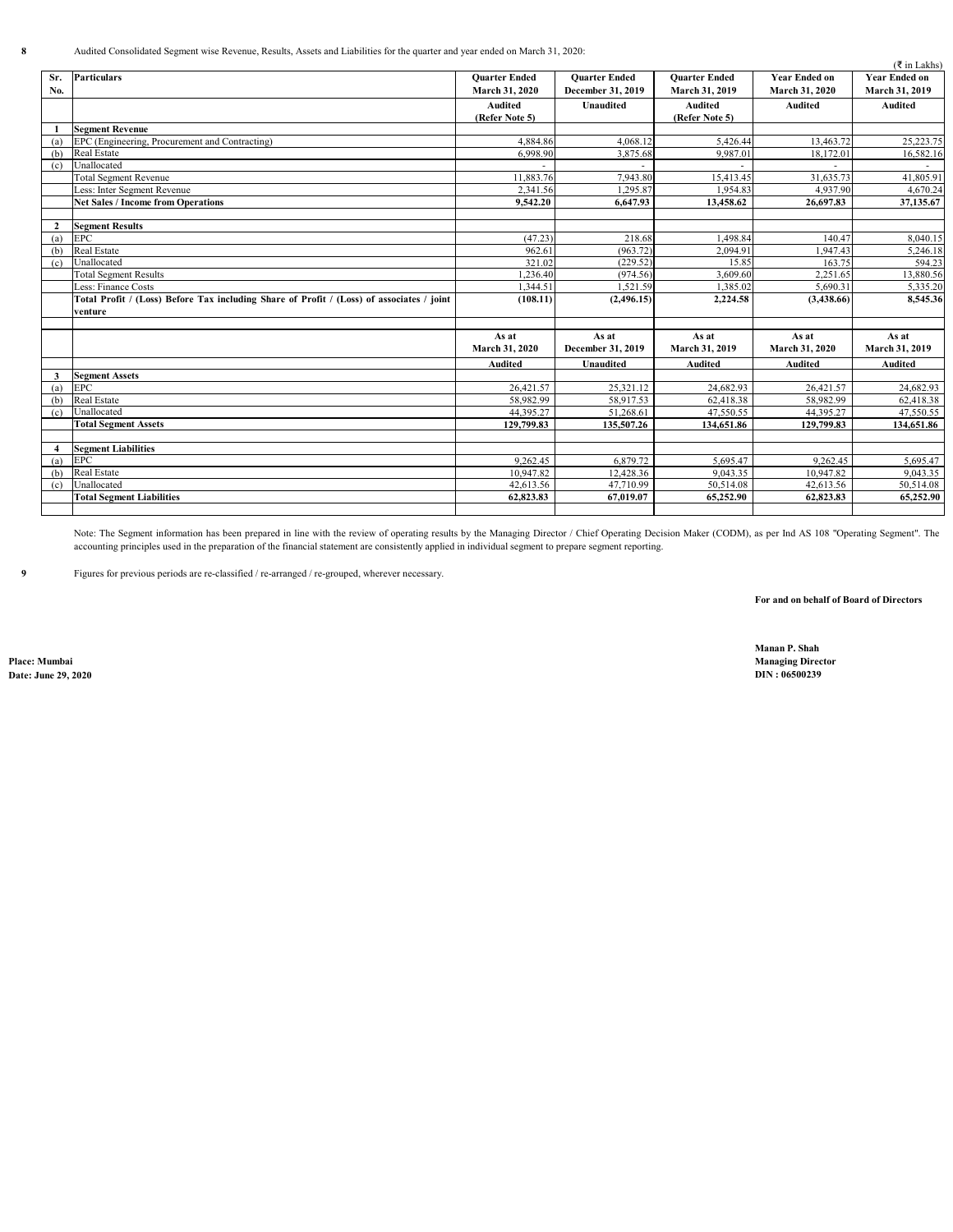**8** Audited Consolidated Segment wise Revenue, Results, Assets and Liabilities for the quarter and year ended on March 31, 2020:

|                |                                                                                           |                      |                        |                      |                      | ( ₹ in Lakhs)        |
|----------------|-------------------------------------------------------------------------------------------|----------------------|------------------------|----------------------|----------------------|----------------------|
| Sr.            | <b>Particulars</b>                                                                        | <b>Ouarter Ended</b> | <b>Ouarter Ended</b>   | <b>Ouarter Ended</b> | <b>Year Ended on</b> | <b>Year Ended on</b> |
| No.            |                                                                                           | March 31, 2020       | December 31, 2019      | March 31, 2019       | March 31, 2020       | March 31, 2019       |
|                |                                                                                           | <b>Audited</b>       | <b>Unaudited</b>       | <b>Audited</b>       | <b>Audited</b>       | <b>Audited</b>       |
|                |                                                                                           | (Refer Note 5)       |                        | (Refer Note 5)       |                      |                      |
|                | <b>Segment Revenue</b>                                                                    |                      |                        |                      |                      |                      |
| (a)            | EPC (Engineering, Procurement and Contracting)                                            | 4,884.86             | 4,068.12               | 5,426.44             | 13,463.72            | 25,223.75            |
| (b)            | Real Estate                                                                               | 6,998.90             | 3,875.68               | 9,987.01             | 18,172.01            | 16,582.16            |
| (c)            | Unallocated                                                                               |                      |                        |                      |                      |                      |
|                | <b>Total Segment Revenue</b>                                                              | 11,883.76            | 7,943.80               | 15,413.45            | 31,635.73            | 41,805.91            |
|                | Less: Inter Segment Revenue                                                               | 2,341.56             | 1,295.87               | 1,954.83             | 4,937.90             | 4,670.24             |
|                | <b>Net Sales / Income from Operations</b>                                                 | 9.542.20             | 6.647.93               | 13,458.62            | 26,697.83            | 37,135.67            |
|                |                                                                                           |                      |                        |                      |                      |                      |
| $\mathbf{2}$   | <b>Segment Results</b>                                                                    |                      |                        |                      |                      |                      |
| (a)            | <b>EPC</b>                                                                                | (47.23)              | 218.68                 | 1,498.84             | 140.47               | 8,040.15             |
| (b)            | <b>Real Estate</b>                                                                        | 962.61               | (963.72)               | 2.094.91             | 1,947.43             | 5,246.18             |
| (c)            | Unallocated                                                                               | 321.02               | (229.52)               | 15.85                | 163.75               | 594.23               |
|                | <b>Total Segment Results</b>                                                              | 1,236.40             | (974.56)               | 3,609.60             | 2,251.65             | 13,880.56            |
|                | Less: Finance Costs                                                                       | 1,344.51             | 1,521.59               | 1,385.02             | 5,690.31             | 5,335.20             |
|                | Total Profit / (Loss) Before Tax including Share of Profit / (Loss) of associates / joint | (108.11)             | (2,496.15)             | 2,224.58             | (3,438.66)           | 8,545.36             |
|                | venture                                                                                   |                      |                        |                      |                      |                      |
|                |                                                                                           |                      |                        |                      |                      |                      |
|                |                                                                                           | As at                | As at                  | As at                | As at                | As at                |
|                |                                                                                           | March 31, 2020       | December 31, 2019      | March 31, 2019       | March 31, 2020       | March 31, 2019       |
|                |                                                                                           | <b>Audited</b>       | <b>Unaudited</b>       | <b>Audited</b>       | <b>Audited</b>       | <b>Audited</b>       |
| 3              | <b>Segment Assets</b>                                                                     |                      |                        |                      |                      |                      |
| (a)            | <b>EPC</b>                                                                                | 26,421.57            | 25,321.12              | 24,682.93            | 26,421.57            | 24,682.93            |
| (b)            | Real Estate                                                                               | 58,982.99            | 58,917.53              | 62,418.38            | 58,982.99            | 62,418.38            |
| (c)            | Unallocated                                                                               | 44,395.27            | 51,268.61              | 47,550.55            | 44,395.27            | 47,550.55            |
|                | <b>Total Segment Assets</b>                                                               | 129,799.83           | 135,507.26             | 134,651.86           | 129,799.83           | 134,651.86           |
|                |                                                                                           |                      |                        |                      |                      |                      |
| $\overline{4}$ | <b>Segment Liabilities</b>                                                                |                      |                        |                      |                      |                      |
| (a)            | <b>EPC</b>                                                                                | 9,262.45             | 6,879.72               | 5.695.47             | 9,262.45             | 5,695.47             |
| (b)            | Real Estate                                                                               | 10,947.82            | 12,428.36              | 9,043.35             | 10,947.82            | 9,043.35             |
| (c)            | Unallocated                                                                               | 42,613.56            | $\overline{47,710.99}$ | 50,514.08            | 42,613.56            | 50,514.08            |
|                | <b>Total Segment Liabilities</b>                                                          | 62,823.83            | 67,019.07              | 65,252.90            | 62,823.83            | 65,252.90            |
|                |                                                                                           |                      |                        |                      |                      |                      |

Note: The Segment information has been prepared in line with the review of operating results by the Managing Director / Chief Operating Decision Maker (CODM), as per Ind AS 108 "Operating Segment". The accounting principles used in the preparation of the financial statement are consistently applied in individual segment to prepare segment reporting.

**9** Figures for previous periods are re-classified / re-arranged / re-grouped, wherever necessary.

**For and on behalf of Board of Directors**

**Date: June 29, 2020** 

**Manan P. Shah Place: Mumbai Managing Director**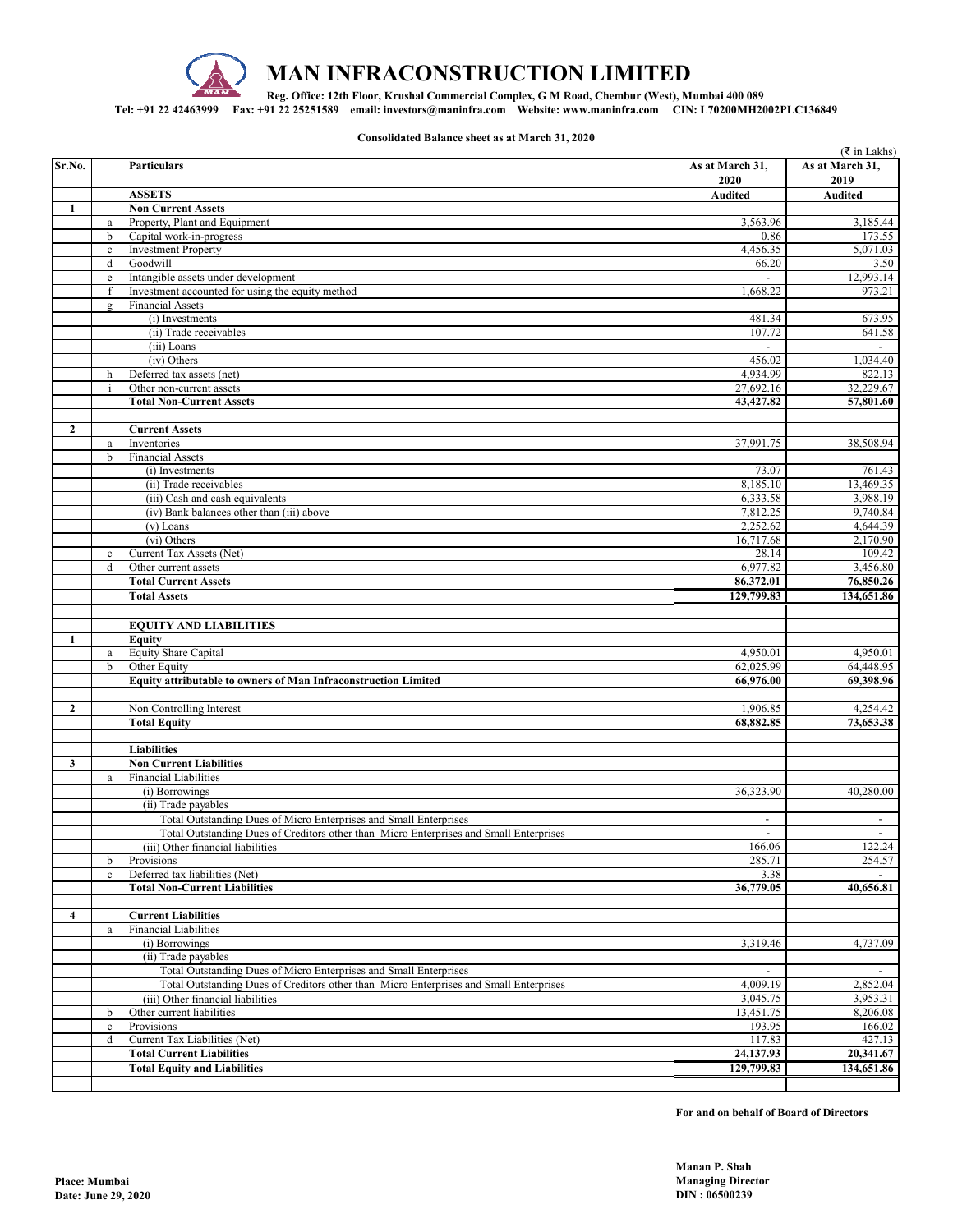

## **MAN INFRACONSTRUCTION LIMITED**

**Reg. Office: 12th Floor, Krushal Commercial Complex, G M Road, Chembur (West), Mumbai 400 089** 

**Tel: +91 22 42463999 Fax: +91 22 25251589 email: investors@maninfra.com Website: www.maninfra.com CIN: L70200MH2002PLC136849**

**Consolidated Balance sheet as at March 31, 2020**

|                |                               |                                                                                        |                          | ( ₹ in Lakhs)            |
|----------------|-------------------------------|----------------------------------------------------------------------------------------|--------------------------|--------------------------|
| Sr.No.         |                               | <b>Particulars</b>                                                                     | As at March 31,          | As at March 31,          |
|                |                               |                                                                                        | 2020                     | 2019                     |
|                |                               | <b>ASSETS</b>                                                                          | Audited                  | <b>Audited</b>           |
| $\mathbf{1}$   |                               | <b>Non Current Assets</b>                                                              |                          |                          |
|                | $\rm{a}$                      | Property, Plant and Equipment                                                          | 3,563.96                 | 3,185.44                 |
|                | $\mathbf b$                   | Capital work-in-progress                                                               | 0.86                     | 173.55                   |
|                |                               | <b>Investment Property</b>                                                             | 4,456.35                 | 5,071.03                 |
|                | $\mathbf c$                   |                                                                                        |                          |                          |
|                | $\mathbf d$                   | Goodwill                                                                               | 66.20                    | 3.50                     |
|                | $\rm e$                       | Intangible assets under development                                                    |                          | 12,993.14                |
|                | $\mathbf{f}$                  | Investment accounted for using the equity method                                       | 1,668.22                 | 973.21                   |
|                | $\mathbf{\underline{\sigma}}$ | <b>Financial Assets</b>                                                                |                          |                          |
|                |                               | (i) Investments                                                                        | 481.34                   | 673.95                   |
|                |                               | (ii) Trade receivables                                                                 | 107.72                   | 641.58                   |
|                |                               | (iii) Loans                                                                            |                          |                          |
|                |                               | (iv) Others                                                                            | 456.02                   | 1,034.40                 |
|                |                               |                                                                                        |                          |                          |
|                | h                             | Deferred tax assets (net)                                                              | 4,934.99                 | 822.13                   |
|                | $\mathbf{i}$                  | Other non-current assets                                                               | 27,692.16                | 32,229.67                |
|                |                               | <b>Total Non-Current Assets</b>                                                        | 43,427.82                | 57,801.60                |
|                |                               |                                                                                        |                          |                          |
| $\overline{2}$ |                               | <b>Current Assets</b>                                                                  |                          |                          |
|                | $\mathbf{a}$                  | Inventories                                                                            | 37,991.75                | 38,508.94                |
|                | $\mathbf b$                   | <b>Financial Assets</b>                                                                |                          |                          |
|                |                               | (i) Investments                                                                        | 73.07                    | 761.43                   |
|                |                               |                                                                                        |                          |                          |
|                |                               | (ii) Trade receivables                                                                 | 8,185.10                 | 13,469.35                |
|                |                               | (iii) Cash and cash equivalents                                                        | 6,333.58                 | 3,988.19                 |
|                |                               | (iv) Bank balances other than (iii) above                                              | 7,812.25                 | 9,740.84                 |
|                |                               | $(v)$ Loans                                                                            | 2,252.62                 | 4,644.39                 |
|                |                               | (vi) Others                                                                            | 16,717.68                | 2,170.90                 |
|                | $\mathbf c$                   | Current Tax Assets (Net)                                                               | 28.14                    | 109.42                   |
|                | d                             | Other current assets                                                                   | 6,977.82                 | 3,456.80                 |
|                |                               |                                                                                        | 86,372.01                | 76,850.26                |
|                |                               | <b>Total Current Assets</b>                                                            |                          |                          |
|                |                               | <b>Total Assets</b>                                                                    | 129,799.83               | 134,651.86               |
|                |                               |                                                                                        |                          |                          |
|                |                               | <b>EQUITY AND LIABILITIES</b>                                                          |                          |                          |
| 1              |                               | Equity                                                                                 |                          |                          |
|                | $\rm{a}$                      | Equity Share Capital                                                                   | 4,950.01                 | 4,950.01                 |
|                | $\mathbf b$                   | Other Equity                                                                           | 62,025.99                | 64,448.95                |
|                |                               |                                                                                        |                          |                          |
|                |                               | Equity attributable to owners of Man Infraconstruction Limited                         | 66,976.00                | 69,398.96                |
|                |                               |                                                                                        |                          |                          |
| $\mathbf{2}$   |                               | Non Controlling Interest                                                               | 1,906.85                 | 4,254.42                 |
|                |                               | <b>Total Equity</b>                                                                    | 68,882.85                | 73,653.38                |
|                |                               |                                                                                        |                          |                          |
|                |                               | <b>Liabilities</b>                                                                     |                          |                          |
| 3              |                               | <b>Non Current Liabilities</b>                                                         |                          |                          |
|                |                               | <b>Financial Liabilities</b>                                                           |                          |                          |
|                | $\mathbf{a}$                  |                                                                                        |                          |                          |
|                |                               | (i) Borrowings                                                                         | 36,323.90                | 40,280.00                |
|                |                               | (ii) Trade payables                                                                    |                          |                          |
|                |                               | Total Outstanding Dues of Micro Enterprises and Small Enterprises                      |                          |                          |
|                |                               | Total Outstanding Dues of Creditors other than Micro Enterprises and Small Enterprises | $\overline{\phantom{a}}$ | $\overline{\phantom{a}}$ |
|                |                               | (iii) Other financial liabilities                                                      | 166.06                   | 122.24                   |
|                | b                             | Provisions                                                                             | 285.71                   | 254.57                   |
|                | $\mathbf c$                   | Deferred tax liabilities (Net)                                                         | 3.38                     |                          |
|                |                               | <b>Total Non-Current Liabilities</b>                                                   | 36,779.05                | 40,656.81                |
|                |                               |                                                                                        |                          |                          |
|                |                               |                                                                                        |                          |                          |
| 4              |                               | <b>Current Liabilities</b>                                                             |                          |                          |
|                | $\rm{a}$                      | <b>Financial Liabilities</b>                                                           |                          |                          |
|                |                               | (i) Borrowings                                                                         | 3,319.46                 | 4,737.09                 |
|                |                               | (ii) Trade payables                                                                    |                          |                          |
|                |                               | Total Outstanding Dues of Micro Enterprises and Small Enterprises                      |                          |                          |
|                |                               | Total Outstanding Dues of Creditors other than Micro Enterprises and Small Enterprises | 4,009.19                 | 2,852.04                 |
|                |                               | (iii) Other financial liabilities                                                      | 3,045.75                 |                          |
|                |                               |                                                                                        |                          | 3,953.31                 |
|                | b                             | Other current liabilities                                                              | 13,451.75                | 8,206.08                 |
|                | $\mathbf c$                   | Provisions                                                                             | 193.95                   | 166.02                   |
|                | d                             | Current Tax Liabilities (Net)                                                          | 117.83                   | 427.13                   |
|                |                               | <b>Total Current Liabilities</b>                                                       | 24,137.93                | 20,341.67                |
|                |                               | <b>Total Equity and Liabilities</b>                                                    | 129,799.83               | 134,651.86               |
|                |                               |                                                                                        |                          |                          |

**For and on behalf of Board of Directors**